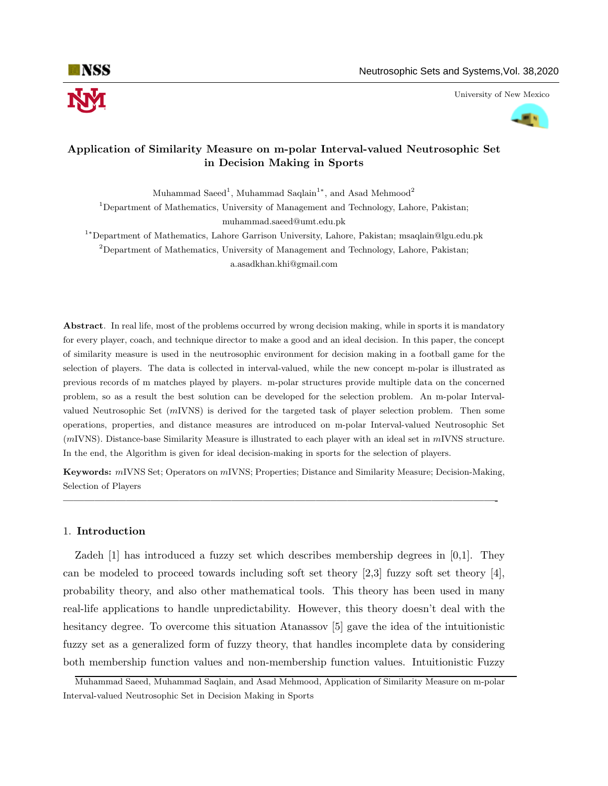

University of New Mexico



# Application of Similarity Measure on m-polar Interval-valued Neutrosophic Set in Decision Making in Sports

Muhammad Saeed<sup>1</sup>, Muhammad Saqlain<sup>1</sup>\*, and Asad Mehmood<sup>2</sup>

<sup>1</sup>Department of Mathematics, University of Management and Technology, Lahore, Pakistan; muhammad.saeed@umt.edu.pk

<sup>1</sup><sup>∗</sup>Department of Mathematics, Lahore Garrison University, Lahore, Pakistan; msaqlain@lgu.edu.pk <sup>2</sup>Department of Mathematics, University of Management and Technology, Lahore, Pakistan; a.asadkhan.khi@gmail.com

Abstract. In real life, most of the problems occurred by wrong decision making, while in sports it is mandatory for every player, coach, and technique director to make a good and an ideal decision. In this paper, the concept of similarity measure is used in the neutrosophic environment for decision making in a football game for the selection of players. The data is collected in interval-valued, while the new concept m-polar is illustrated as previous records of m matches played by players. m-polar structures provide multiple data on the concerned problem, so as a result the best solution can be developed for the selection problem. An m-polar Intervalvalued Neutrosophic Set  $(mIVNS)$  is derived for the targeted task of player selection problem. Then some operations, properties, and distance measures are introduced on m-polar Interval-valued Neutrosophic Set (mIVNS). Distance-base Similarity Measure is illustrated to each player with an ideal set in mIVNS structure. In the end, the Algorithm is given for ideal decision-making in sports for the selection of players.

Keywords: mIVNS Set; Operators on mIVNS; Properties; Distance and Similarity Measure; Decision-Making, Selection of Players

—————————————————————————————————————————-

## 1. Introduction

Zadeh [1] has introduced a fuzzy set which describes membership degrees in [0,1]. They can be modeled to proceed towards including soft set theory  $[2,3]$  fuzzy soft set theory  $[4]$ , probability theory, and also other mathematical tools. This theory has been used in many real-life applications to handle unpredictability. However, this theory doesn't deal with the hesitancy degree. To overcome this situation Atanassov [5] gave the idea of the intuitionistic fuzzy set as a generalized form of fuzzy theory, that handles incomplete data by considering both membership function values and non-membership function values. Intuitionistic Fuzzy

Muhammad Saeed, Muhammad Saqlain, and Asad Mehmood, Application of Similarity Measure on m-polar Interval-valued Neutrosophic Set in Decision Making in Sports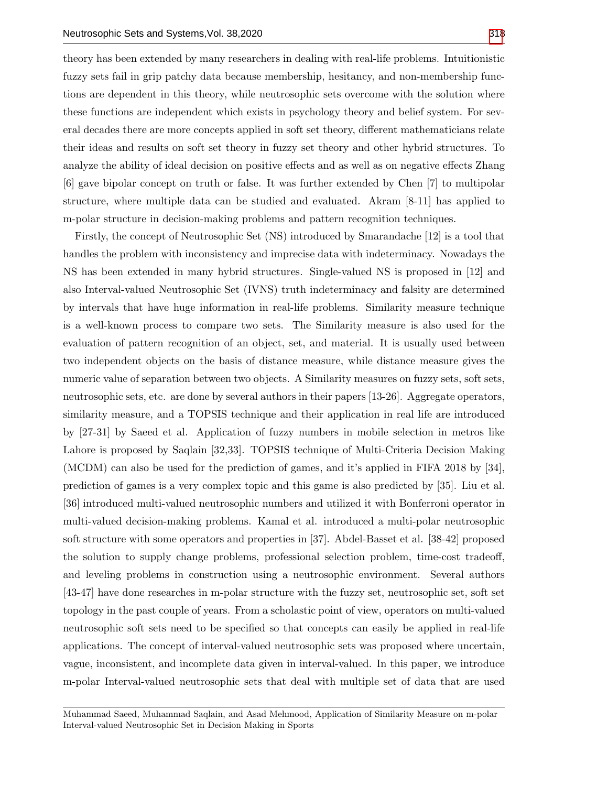theory has been extended by many researchers in dealing with real-life problems. Intuitionistic fuzzy sets fail in grip patchy data because membership, hesitancy, and non-membership functions are dependent in this theory, while neutrosophic sets overcome with the solution where these functions are independent which exists in psychology theory and belief system. For several decades there are more concepts applied in soft set theory, different mathematicians relate their ideas and results on soft set theory in fuzzy set theory and other hybrid structures. To analyze the ability of ideal decision on positive effects and as well as on negative effects Zhang [6] gave bipolar concept on truth or false. It was further extended by Chen [7] to multipolar structure, where multiple data can be studied and evaluated. Akram [8-11] has applied to m-polar structure in decision-making problems and pattern recognition techniques.

Firstly, the concept of Neutrosophic Set (NS) introduced by Smarandache [12] is a tool that handles the problem with inconsistency and imprecise data with indeterminacy. Nowadays the NS has been extended in many hybrid structures. Single-valued NS is proposed in [12] and also Interval-valued Neutrosophic Set (IVNS) truth indeterminacy and falsity are determined by intervals that have huge information in real-life problems. Similarity measure technique is a well-known process to compare two sets. The Similarity measure is also used for the evaluation of pattern recognition of an object, set, and material. It is usually used between two independent objects on the basis of distance measure, while distance measure gives the numeric value of separation between two objects. A Similarity measures on fuzzy sets, soft sets, neutrosophic sets, etc. are done by several authors in their papers [13-26]. Aggregate operators, similarity measure, and a TOPSIS technique and their application in real life are introduced by [27-31] by Saeed et al. Application of fuzzy numbers in mobile selection in metros like Lahore is proposed by Saqlain [32,33]. TOPSIS technique of Multi-Criteria Decision Making (MCDM) can also be used for the prediction of games, and it's applied in FIFA 2018 by [34], prediction of games is a very complex topic and this game is also predicted by [35]. Liu et al. [36] introduced multi-valued neutrosophic numbers and utilized it with Bonferroni operator in multi-valued decision-making problems. Kamal et al. introduced a multi-polar neutrosophic soft structure with some operators and properties in [37]. Abdel-Basset et al. [38-42] proposed the solution to supply change problems, professional selection problem, time-cost tradeoff, and leveling problems in construction using a neutrosophic environment. Several authors [43-47] have done researches in m-polar structure with the fuzzy set, neutrosophic set, soft set topology in the past couple of years. From a scholastic point of view, operators on multi-valued neutrosophic soft sets need to be specified so that concepts can easily be applied in real-life applications. The concept of interval-valued neutrosophic sets was proposed where uncertain, vague, inconsistent, and incomplete data given in interval-valued. In this paper, we introduce m-polar Interval-valued neutrosophic sets that deal with multiple set of data that are used

Muhammad Saeed, Muhammad Saqlain, and Asad Mehmood, Application of Similarity Measure on m-polar Interval-valued Neutrosophic Set in Decision Making in Sports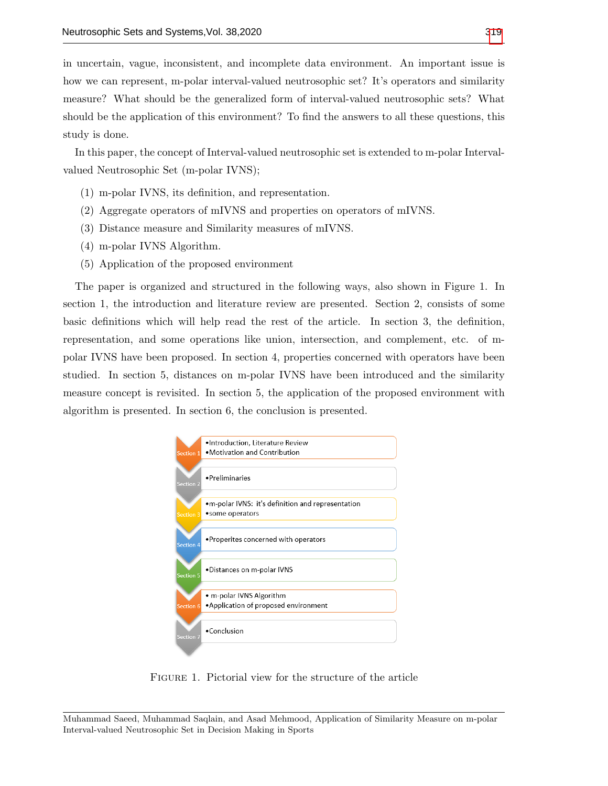in uncertain, vague, inconsistent, and incomplete data environment. An important issue is how we can represent, m-polar interval-valued neutrosophic set? It's operators and similarity measure? What should be the generalized form of interval-valued neutrosophic sets? What should be the application of this environment? To find the answers to all these questions, this study is done.

In this paper, the concept of Interval-valued neutrosophic set is extended to m-polar Intervalvalued Neutrosophic Set (m-polar IVNS);

- (1) m-polar IVNS, its definition, and representation.
- (2) Aggregate operators of mIVNS and properties on operators of mIVNS.
- (3) Distance measure and Similarity measures of mIVNS.
- (4) m-polar IVNS Algorithm.
- (5) Application of the proposed environment

The paper is organized and structured in the following ways, also shown in Figure 1. In section 1, the introduction and literature review are presented. Section 2, consists of some basic definitions which will help read the rest of the article. In section 3, the definition, representation, and some operations like union, intersection, and complement, etc. of mpolar IVNS have been proposed. In section 4, properties concerned with operators have been studied. In section 5, distances on m-polar IVNS have been introduced and the similarity measure concept is revisited. In section 5, the application of the proposed environment with algorithm is presented. In section 6, the conclusion is presented.



FIGURE 1. Pictorial view for the structure of the article

Muhammad Saeed, Muhammad Saqlain, and Asad Mehmood, Application of Similarity Measure on m-polar Interval-valued Neutrosophic Set in Decision Making in Sports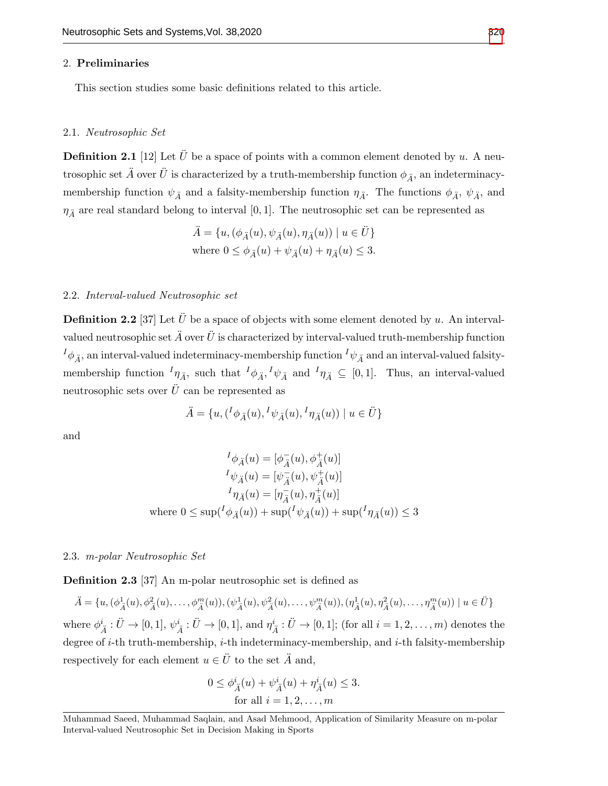### 2. Preliminaries

This section studies some basic definitions related to this article.

#### 2.1. Neutrosophic Set

**Definition 2.1** [12] Let  $\ddot{U}$  be a space of points with a common element denoted by u. A neutrosophic set  $\ddot{A}$  over  $\ddot{U}$  is characterized by a truth-membership function  $\phi_{\ddot{A}}$ , an indeterminacymembership function  $\psi_{\tilde{A}}$  and a falsity-membership function  $\eta_{\tilde{A}}$ . The functions  $\phi_{\tilde{A}}$ ,  $\psi_{\tilde{A}}$ , and  $\eta_{\tilde{A}}$  are real standard belong to interval [0, 1]. The neutrosophic set can be represented as

$$
\ddot{A} = \{u, (\phi_{\ddot{A}}(u), \psi_{\ddot{A}}(u), \eta_{\ddot{A}}(u)) \mid u \in \ddot{U}\}\
$$
  
where  $0 \le \phi_{\ddot{A}}(u) + \psi_{\ddot{A}}(u) + \eta_{\ddot{A}}(u) \le 3$ .

### 2.2. Interval-valued Neutrosophic set

**Definition 2.2** [37] Let  $\ddot{U}$  be a space of objects with some element denoted by u. An intervalvalued neutrosophic set  $\ddot{A}$  over  $\ddot{U}$  is characterized by interval-valued truth-membership function  $I_{\phi_A}$ , an interval-valued indeterminacy-membership function  $I_{\psi_A}$  and an interval-valued falsitymembership function  ${}^I\eta_{\tilde{A}}$ , such that  ${}^I\phi_{\tilde{A}}$ ,  ${}^I\psi_{\tilde{A}}$  and  ${}^I\eta_{\tilde{A}} \subseteq [0,1]$ . Thus, an interval-valued neutrosophic sets over  $\hat{U}$  can be represented as

$$
\ddot{A} = \{u, (\frac{I}{\phi_{\ddot{A}}}(u), \frac{I}{\psi_{\ddot{A}}}(u), \frac{I}{\eta_{\ddot{A}}}(u)) \mid u \in \ddot{U}\}
$$

and

$$
{}^{I}\phi_{\tilde{A}}(u) = [\phi_{\tilde{A}}^{-}(u), \phi_{\tilde{A}}^{+}(u)]
$$
  
\n
$$
{}^{I}\psi_{\tilde{A}}(u) = [\psi_{\tilde{A}}^{-}(u), \psi_{\tilde{A}}^{+}(u)]
$$
  
\n
$$
{}^{I}\eta_{\tilde{A}}(u) = [\eta_{\tilde{A}}^{-}(u), \eta_{\tilde{A}}^{+}(u)]
$$
  
\nwhere  $0 \leq \sup({}^{I}\phi_{\tilde{A}}(u)) + \sup({}^{I}\psi_{\tilde{A}}(u)) + \sup({}^{I}\eta_{\tilde{A}}(u)) \leq 3$ 

## 2.3. m-polar Neutrosophic Set

Definition 2.3 [37] An m-polar neutrosophic set is defined as

$$
\ddot{A} = \{u, (\phi^1_{\ddot{A}}(u), \phi^2_{\ddot{A}}(u), \dots, \phi^m_{\ddot{A}}(u)), (\psi^1_{\ddot{A}}(u), \psi^2_{\ddot{A}}(u), \dots, \psi^m_{\ddot{A}}(u)), (\eta^1_{\ddot{A}}(u), \eta^2_{\ddot{A}}(u), \dots, \eta^m_{\ddot{A}}(u)) \mid u \in \ddot{U}\}
$$

where  $\phi^i_{\vec{A}}: \ddot{U} \to [0,1], \psi^i_{\vec{A}}: \ddot{U} \to [0,1],$  and  $\eta^i_{\vec{A}}: \ddot{U} \to [0,1]$ ; (for all  $i = 1,2,\ldots,m$ ) denotes the degree of  $i$ -th truth-membership,  $i$ -th indeterminacy-membership, and  $i$ -th falsity-membership respectively for each element  $u \in \ddot{U}$  to the set  $\ddot{A}$  and,

$$
0 \le \phi_{\vec{A}}^{i}(u) + \psi_{\vec{A}}^{i}(u) + \eta_{\vec{A}}^{i}(u) \le 3.
$$
  
for all  $i = 1, 2, ..., m$ 

Muhammad Saeed, Muhammad Saqlain, and Asad Mehmood, Application of Similarity Measure on m-polar Interval-valued Neutrosophic Set in Decision Making in Sports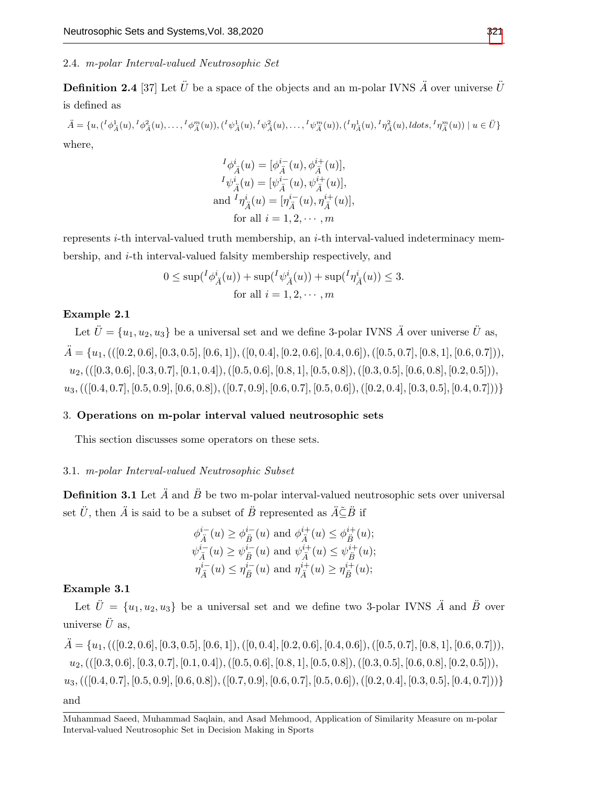# 2.4. m-polar Interval-valued Neutrosophic Set

**Definition 2.4** [37] Let  $\ddot{U}$  be a space of the objects and an m-polar IVNS  $\ddot{A}$  over universe  $\ddot{U}$ is defined as

 $\ddot{A} = \{u, ({}^{I}\phi_{\ddot{A}}^1(u),{}^{I}\phi_{\ddot{A}}^2(u), \ldots, {}^{I}\phi_{\ddot{A}}^m(u)), ({}^{I}\psi_{\ddot{A}}^1(u),{}^{I}\psi_{\ddot{A}}^2(u), \ldots, {}^{I}\psi_{\ddot{A}}^m(u)), ({}^{I}\eta_{\ddot{A}}^1(u),{}^{I}\eta_{\ddot{A}}^2(u),ldots, {}^{I}\eta_{\ddot{A}}^m(u)) \mid u \in \ddot{U}\}$ where,

$$
{}^{I}\phi_{\tilde{A}}^{i}(u) = [\phi_{\tilde{A}}^{i-}(u), \phi_{\tilde{A}}^{i+}(u)],
$$
  
\n
$$
{}^{I}\psi_{\tilde{A}}^{i}(u) = [\psi_{\tilde{A}}^{i-}(u), \psi_{\tilde{A}}^{i+}(u)],
$$
  
\nand 
$$
{}^{I}\eta_{\tilde{A}}^{i}(u) = [\eta_{\tilde{A}}^{i-}(u), \eta_{\tilde{A}}^{i+}(u)],
$$
  
\nfor all  $i = 1, 2, \dots, m$ 

represents *i*-th interval-valued truth membership, an *i*-th interval-valued indeterminacy membership, and i-th interval-valued falsity membership respectively, and

$$
0 \le \sup({}^I\phi^i_{\mathring{A}}(u)) + \sup({}^I\psi^i_{\mathring{A}}(u)) + \sup({}^I\eta^i_{\mathring{A}}(u)) \le 3.
$$
  
for all  $i = 1, 2, \dots, m$ 

# Example 2.1

Let  $\ddot{U} = \{u_1, u_2, u_3\}$  be a universal set and we define 3-polar IVNS  $\ddot{A}$  over universe  $\ddot{U}$  as,  $\ddot{A} = \{u_1, (([0.2, 0.6], [0.3, 0.5], [0.6, 1]), ([0, 0.4], [0.2, 0.6], [0.4, 0.6]), ([0.5, 0.7], [0.8, 1], [0.6, 0.7]),$  $u_2$ , (([0.3, 0.6], [0.3, 0.7], [0.1, 0.4]), ([0.5, 0.6], [0.8, 1], [0.5, 0.8]), ([0.3, 0.5], [0.6, 0.8], [0.2, 0.5])),  $u_3,(([0.4, 0.7], [0.5, 0.9], [0.6, 0.8]),([0.7, 0.9], [0.6, 0.7], [0.5, 0.6]),([0.2, 0.4], [0.3, 0.5], [0.4, 0.7]))\}$ 

## 3. Operations on m-polar interval valued neutrosophic sets

This section discusses some operators on these sets.

## 3.1. m-polar Interval-valued Neutrosophic Subset

**Definition 3.1** Let  $\ddot{A}$  and  $\ddot{B}$  be two m-polar interval-valued neutrosophic sets over universal set  $\ddot{U}$ , then  $\ddot{A}$  is said to be a subset of  $\ddot{B}$  represented as  $\ddot{A}\tilde{\subseteq}\ddot{B}$  if

$$
\phi_{\vec{A}}^{i-}(u) \ge \phi_{\vec{B}}^{i-}(u) \text{ and } \phi_{\vec{A}}^{i+}(u) \le \phi_{\vec{B}}^{i+}(u);
$$
  

$$
\psi_{\vec{A}}^{i-}(u) \ge \psi_{\vec{B}}^{i-}(u) \text{ and } \psi_{\vec{A}}^{i+}(u) \le \psi_{\vec{B}}^{i+}(u);
$$
  

$$
\eta_{\vec{A}}^{i-}(u) \le \eta_{\vec{B}}^{i-}(u) \text{ and } \eta_{\vec{A}}^{i+}(u) \ge \eta_{\vec{B}}^{i+}(u);
$$

# Example 3.1

Let  $\ddot{U} = \{u_1, u_2, u_3\}$  be a universal set and we define two 3-polar IVNS  $\ddot{A}$  and  $\ddot{B}$  over universe  $\ddot{U}$  as,

 $\ddot{A} = \{u_1, (([0.2, 0.6], [0.3, 0.5], [0.6, 1]), ([0, 0.4], [0.2, 0.6], [0.4, 0.6]), ([0.5, 0.7], [0.8, 1], [0.6, 0.7]),$  $u_2$ , (([0.3, 0.6], [0.3, 0.7], [0.1, 0.4]), ([0.5, 0.6], [0.8, 1], [0.5, 0.8]), ([0.3, 0.5], [0.6, 0.8], [0.2, 0.5])),  $u_3,(([0.4, 0.7], [0.5, 0.9], [0.6, 0.8]),([0.7, 0.9], [0.6, 0.7], [0.5, 0.6]),([0.2, 0.4], [0.3, 0.5], [0.4, 0.7]))\}$ and

Muhammad Saeed, Muhammad Saqlain, and Asad Mehmood, Application of Similarity Measure on m-polar Interval-valued Neutrosophic Set in Decision Making in Sports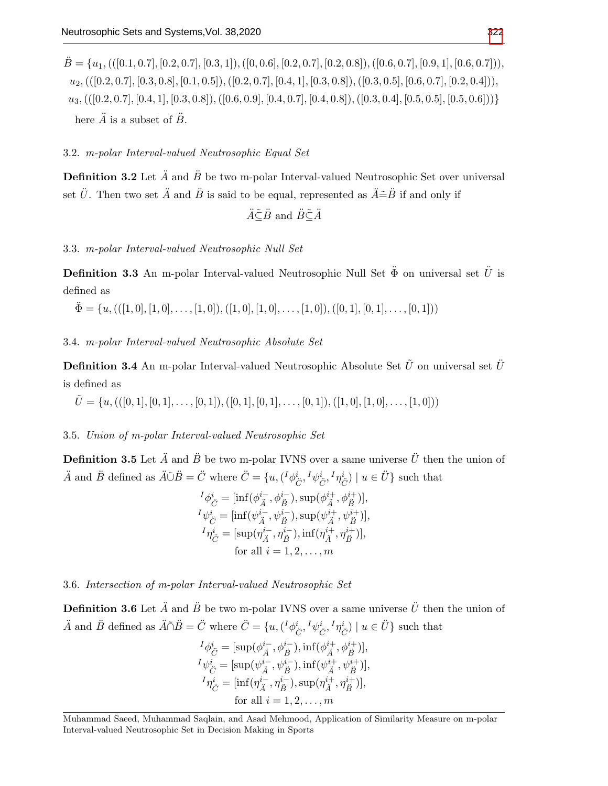$\ddot{B} = \{u_1, (([0.1, 0.7], [0.2, 0.7], [0.3, 1]), ([0, 0.6], [0.2, 0.7], [0.2, 0.8]), ([0.6, 0.7], [0.9, 1], [0.6, 0.7]),$  $u_2$ , (([0.2, 0.7], [0.3, 0.8], [0.1, 0.5]), ([0.2, 0.7], [0.4, 1], [0.3, 0.8]), ([0.3, 0.5], [0.6, 0.7], [0.2, 0.4])),  $u_3,(([0.2, 0.7], [0.4, 1], [0.3, 0.8]),([0.6, 0.9], [0.4, 0.7], [0.4, 0.8]),([0.3, 0.4], [0.5, 0.5], [0.5, 0.6]))\}$ here  $\ddot{A}$  is a subset of  $\ddot{B}$ .

3.2. m-polar Interval-valued Neutrosophic Equal Set

**Definition 3.2** Let  $\ddot{A}$  and  $\ddot{B}$  be two m-polar Interval-valued Neutrosophic Set over universal set  $\ddot{U}$ . Then two set  $\ddot{A}$  and  $\ddot{B}$  is said to be equal, represented as  $\ddot{A} \tilde{=} \ddot{B}$  if and only if

$$
\ddot{A}\tilde{\subseteq}\ddot{B}
$$
 and  $\ddot{B}\tilde{\subseteq}\ddot{A}$ 

3.3. m-polar Interval-valued Neutrosophic Null Set

**Definition 3.3** An m-polar Interval-valued Neutrosophic Null Set  $\ddot{\Phi}$  on universal set  $\ddot{U}$  is defined as

$$
\ddot{\Phi} = \{u, (((1,0], [1,0], \ldots, [1,0]), ([1,0], [1,0], \ldots, [1,0]), ([0,1], [0,1], \ldots, [0,1]))
$$

## 3.4. m-polar Interval-valued Neutrosophic Absolute Set

**Definition 3.4** An m-polar Interval-valued Neutrosophic Absolute Set  $\tilde{U}$  on universal set  $\tilde{U}$ is defined as

 $\tilde{U} = \{u, (([0, 1], [0, 1], \ldots, [0, 1]), ([0, 1], [0, 1], \ldots, [0, 1]), ([1, 0], [1, 0], \ldots, [1, 0])\}$ 

3.5. Union of m-polar Interval-valued Neutrosophic Set

**Definition 3.5** Let  $\ddot{A}$  and  $\ddot{B}$  be two m-polar IVNS over a same universe  $\ddot{U}$  then the union of  $\ddot{A}$  and  $\ddot{B}$  defined as  $\ddot{A}\ddot{\cup}\ddot{B}=\ddot{C}$  where  $\ddot{C}=\{u,({}^I\phi^i_{\ddot{C}},{}^I\psi^i_{\ddot{C}},{}^I\eta^i_{\ddot{C}}) \mid u\in\ddot{U}\}$  such that

$$
{}^{I}\phi_{\check{C}}^{i} = [\inf(\phi_{\check{A}}^{i-}, \phi_{\check{B}}^{i-}), \sup(\phi_{\check{A}}^{i+}, \phi_{\check{B}}^{i+})],
$$
  
\n
$$
{}^{I}\psi_{\check{C}}^{i} = [\inf(\psi_{\check{A}}^{i-}, \psi_{\check{B}}^{i-}), \sup(\psi_{\check{A}}^{i+}, \psi_{\check{B}}^{i+})],
$$
  
\n
$$
{}^{I}\eta_{\check{C}}^{i} = [\sup(\eta_{\check{A}}^{i-}, \eta_{\check{B}}^{i-}), \inf(\eta_{\check{A}}^{i+}, \eta_{\check{B}}^{i+})],
$$
  
\nfor all  $i = 1, 2, ..., m$ 

3.6. Intersection of m-polar Interval-valued Neutrosophic Set

**Definition 3.6** Let  $\ddot{A}$  and  $\ddot{B}$  be two m-polar IVNS over a same universe  $\ddot{U}$  then the union of  $\ddot{A}$  and  $\ddot{B}$  defined as  $\ddot{A}\tilde{\cap}\ddot{B}=\ddot{C}$  where  $\ddot{C}=\{u,({}^I\phi^i_{\ddot{C}},{}^I\psi^i_{\ddot{C}},{}^I\eta^i_{\ddot{C}}) \mid u\in\ddot{U}\}$  such that

$$
\begin{array}{l} {^I}\phi^i_{\ddot{C}}=[\sup(\phi^{i-}_{\ddot{A}},\phi^{i-}_{\ddot{B}}), \inf(\phi^{i+}_{\ddot{A}},\phi^{i+}_{\ddot{B}})],\\ {^I}\psi^i_{\ddot{C}}=[\sup(\psi^{i-}_{\ddot{A}},\psi^{i-}_{\ddot{B}}), \inf(\psi^{i+}_{\ddot{A}},\psi^{i+}_{\ddot{B}})],\\ {^I}\eta^i_{\ddot{C}}=[\inf(\eta^{i-}_{\ddot{A}},\eta^{i-}_{\ddot{B}}), \sup(\eta^{i+}_{\ddot{A}},\eta^{i+}_{\ddot{B}})],\\ \text{ for all } i=1,2,\ldots,m \end{array}
$$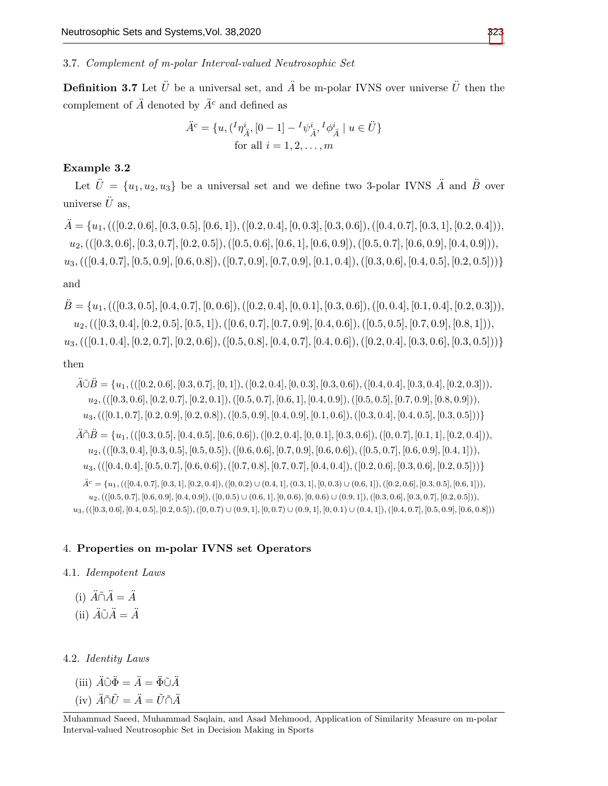3.7. Complement of m-polar Interval-valued Neutrosophic Set

**Definition 3.7** Let  $\ddot{U}$  be a universal set, and  $\ddot{A}$  be m-polar IVNS over universe  $\ddot{U}$  then the complement of  $\ddot{A}$  denoted by  $\ddot{A}^c$  and defined as

$$
\ddot{A}^c = \{u, (\,^I\eta_{\ddot{A}}^i, [0-1] - \,^I\psi_{\ddot{A}}^i, \,^I\phi_{\ddot{A}}^i \mid u \in \ddot{U}\}\
$$
\nfor all

\n
$$
i = 1, 2, \ldots, m
$$

# Example 3.2

Let  $\ddot{U} = \{u_1, u_2, u_3\}$  be a universal set and we define two 3-polar IVNS  $\ddot{A}$  and  $\ddot{B}$  over universe  $\ddot{U}$  as,

 $\ddot{A} = \{u_1, (([0.2, 0.6], [0.3, 0.5], [0.6, 1]), ([0.2, 0.4], [0, 0.3], [0.3, 0.6]), ([0.4, 0.7], [0.3, 1], [0.2, 0.4]),$  $u_2$ , (([0.3, 0.6], [0.3, 0.7], [0.2, 0.5]),([0.5, 0.6], [0.6, 1], [0.6, 0.9]),([0.5, 0.7], [0.6, 0.9], [0.4, 0.9])),  $u_3,(([0.4, 0.7], [0.5, 0.9], [0.6, 0.8]),([0.7, 0.9], [0.7, 0.9], [0.1, 0.4]),([0.3, 0.6], [0.4, 0.5], [0.2, 0.5]))\}$ and

 $\ddot{B} = \{u_1, (([0.3, 0.5], [0.4, 0.7], [0, 0.6]), ([0.2, 0.4], [0, 0.1], [0.3, 0.6]), ([0, 0.4], [0.1, 0.4], [0.2, 0.3])),$  $u_2$ , (([0.3, 0.4], [0.2, 0.5], [0.5, 1]), ([0.6, 0.7], [0.7, 0.9], [0.4, 0.6]), ([0.5, 0.5], [0.7, 0.9], [0.8, 1])),

 $u_3,(([0.1, 0.4], [0.2, 0.7], [0.2, 0.6]), ([0.5, 0.8], [0.4, 0.7], [0.4, 0.6]), ([0.2, 0.4], [0.3, 0.6], [0.3, 0.5]))\}$ 

# then

 $\widetilde{A}\widetilde{\cup}\widetilde{B}=\{u_1, (([0.2, 0.6], [0.3, 0.7], [0, 1]), ([0.2, 0.4], [0, 0.3], [0.3, 0.6]), ([0.4, 0.4], [0.3, 0.4], [0.2, 0.3]))\}$  $u_2$ , (([0.3, 0.6], [0.2, 0.7], [0.2, 0.1]),([0.5, 0.7], [0.6, 1], [0.4, 0.9]),([0.5, 0.5], [0.7, 0.9], [0.8, 0.9])),  $u_3,(([0.1, 0.7], [0.2, 0.9], [0.2, 0.8]), ([0.5, 0.9], [0.4, 0.9], [0.1, 0.6]), ([0.3, 0.4], [0.4, 0.5], [0.3, 0.5]))\}$  $\widetilde{A}\widetilde{\cap}B=\{u_1, (([0.3, 0.5], [0.4, 0.5], [0.6, 0.6]), ([0.2, 0.4], [0, 0.1], [0.3, 0.6]), ([0.0.7], [0.1, 1], [0.2, 0.4]))\}$  $u_2,(([0.3, 0.4], [0.3, 0.5], [0.5, 0.5]), ([0.6, 0.6], [0.7, 0.9], [0.6, 0.6]), ([0.5, 0.7], [0.6, 0.9], [0.4, 1]))$  $u_3,(([0.4, 0.4], [0.5, 0.7], [0.6, 0.6]), ([0.7, 0.8], [0.7, 0.7], [0.4, 0.4]), ([0.2, 0.6], [0.3, 0.6], [0.2, 0.5]))\}$  $\ddot{A}^c = \{u_1, (([0.4, 0.7], [0.3, 1], [0.2, 0.4]), ([0, 0.2) \cup (0.4, 1], (0.3, 1], [0, 0.3) \cup (0.6, 1]), ([0.2, 0.6], [0.3, 0.5], [0.6, 1])\}$  $u_2$ , (([0.5, 0.7], [0.6, 0.9], [0.4, 0.9]), ([0, 0.5) ∪ (0.6, 1], [0, 0.6), [0, 0.6) ∪ (0.9, 1]), ([0.3, 0.6], [0.3, 0.7], [0.2, 0.5])),  $u_3$ , (([0.3, 0.6], [0.4, 0.5], [0.2, 0.5]), ([0, 0.7) ∪ (0.9, 1], [0, 0.7) ∪ (0.9, 1], [0, 0.1) ∪ (0.4, 1]), ([0.4, 0.7], [0.5, 0.9], [0.6, 0.8]))

# 4. Properties on m-polar IVNS set Operators

## 4.1. Idempotent Laws

(i)  $\ddot{A} \tilde{\cap} \ddot{A} = \ddot{A}$ 

(ii)  $\ddot{A}\tilde{\cup}\ddot{A}=\ddot{A}$ 

# 4.2. Identity Laws

- (iii)  $\ddot{A} \tilde{\cup} \ddot{\Phi} = \ddot{A} = \ddot{\Phi} \tilde{\cup} \ddot{A}$
- (iv)  $\ddot{A} \tilde{\cap} \tilde{U} = \ddot{A} = \tilde{U} \tilde{\cap} \ddot{A}$

Muhammad Saeed, Muhammad Saqlain, and Asad Mehmood, Application of Similarity Measure on m-polar Interval-valued Neutrosophic Set in Decision Making in Sports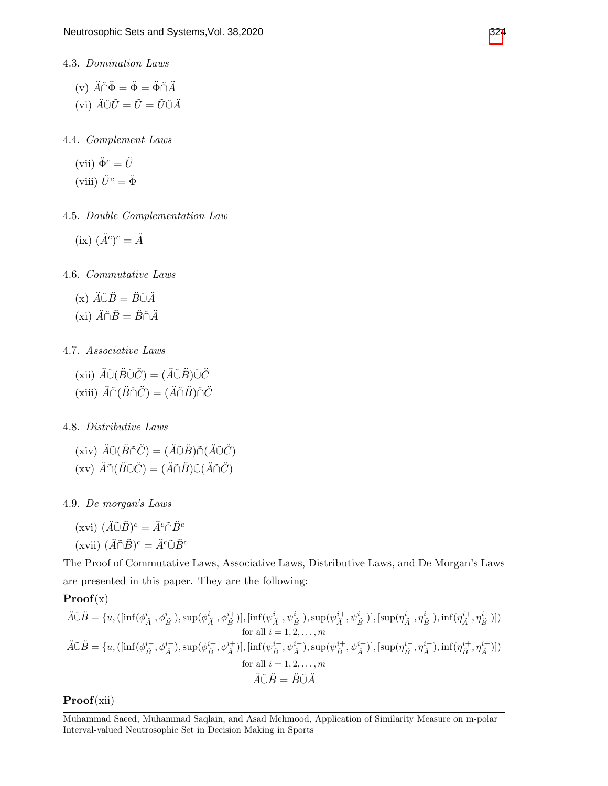- 4.3. Domination Laws
	- (v)  $\ddot{A}\tilde{\cap}\ddot{\Phi}=\ddot{\Phi}=\ddot{\Phi}\tilde{\cap}\ddot{A}$ (vi)  $\ddot{A}\tilde{\cup}\tilde{U}=\tilde{U}=\tilde{U}\tilde{\cup}\tilde{A}$

4.4. Complement Laws

(vii) 
$$
\ddot{\Phi}^c = \tilde{U}
$$
  
(viii)  $\tilde{U}^c = \ddot{\Phi}$ 

4.5. Double Complementation Law

(ix) 
$$
(\ddot{A}^c)^c = \ddot{A}
$$

4.6. Commutative Laws

$$
(x) \ \ddot{A}\tilde{\cup}\ddot{B} = \ddot{B}\tilde{\cup}\ddot{A}
$$

$$
(x\mathbf{i}) \ \ddot{A}\tilde{\cap}\ddot{B} = \ddot{B}\tilde{\cap}\ddot{A}
$$

## 4.7. Associative Laws

(xii)  $\ddot{A}\tilde{\cup}(\ddot{B}\tilde{\cup}\ddot{C})=(\ddot{A}\tilde{\cup}\ddot{B})\tilde{\cup}\ddot{C}$ (xiii)  $\ddot{A} \tilde{\cap} (\ddot{B} \tilde{\cap} \ddot{C}) = (\ddot{A} \tilde{\cap} \ddot{B}) \tilde{\cap} \ddot{C}$ 

4.8. Distributive Laws

(xiv)  $\ddot{A}\tilde{\cup}(\ddot{B}\tilde{\cap}\ddot{C})=(\ddot{A}\tilde{\cup}\ddot{B})\tilde{\cap}(\ddot{A}\tilde{\cup}\ddot{C})$ (xv)  $\ddot{A} \tilde{\cap} (\ddot{B} \tilde{\cup} \ddot{C}) = (\ddot{A} \tilde{\cap} \ddot{B}) \tilde{\cup} (\ddot{A} \tilde{\cap} \ddot{C})$ 

4.9. De morgan's Laws

$$
(\text{xvi}) \ (\ddot{A}\tilde{\cup}\ddot{B})^c = \ddot{A}^c \tilde{\cap}\ddot{B}^c
$$

$$
(\text{xvii}) \ (\ddot{A}\tilde{\cap}\ddot{B})^c = \ddot{A}^c \tilde{\cup}\ddot{B}^c
$$

The Proof of Commutative Laws, Associative Laws, Distributive Laws, and De Morgan's Laws are presented in this paper. They are the following:

$$
\mathbf{Proof}(\mathbf{x})
$$

$$
\ddot{A}\tilde{\cup}\ddot{B} = \{u, (\left[\inf(\phi_{\ddot{A}}^{i-}, \phi_{\ddot{B}}^{i-}), \sup(\phi_{\ddot{A}}^{i+}, \phi_{\ddot{B}}^{i+})\right], \left[\inf(\psi_{\ddot{A}}^{i-}, \psi_{\ddot{B}}^{i-}), \sup(\psi_{\ddot{A}}^{i+}, \psi_{\ddot{B}}^{i+})\right], \left[\sup(\eta_{\ddot{A}}^{i-}, \eta_{\ddot{B}}^{i-}), \inf(\eta_{\ddot{A}}^{i+}, \eta_{\ddot{B}}^{i+})\right] \}
$$
\nfor all  $i = 1, 2, ..., m$   
\n
$$
\ddot{A}\tilde{\cup}\ddot{B} = \{u, (\left[\inf(\phi_{\ddot{B}}^{i-}, \phi_{\ddot{A}}^{i-}), \sup(\phi_{\ddot{B}}^{i+}, \phi_{\ddot{A}}^{i+})\right], \left[\inf(\psi_{\ddot{B}}^{i-}, \psi_{\ddot{A}}^{i-}), \sup(\psi_{\ddot{B}}^{i+}, \psi_{\ddot{A}}^{i+})\right], \left[\sup(\eta_{\ddot{B}}^{i-}, \eta_{\ddot{A}}^{i-}), \inf(\eta_{\ddot{B}}^{i+}, \eta_{\ddot{A}}^{i+})\right] \}
$$
\nfor all  $i = 1, 2, ..., m$   
\n
$$
\ddot{A}\tilde{\cup}\ddot{B} = \ddot{B}\tilde{\cup}\ddot{A}
$$

Proof(xii)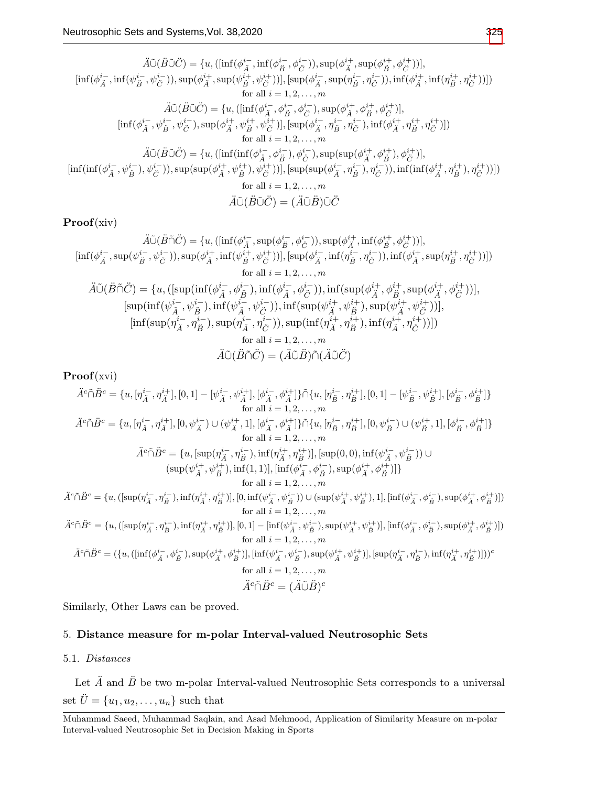$$
\tilde{A}\tilde{\cup}(\tilde{B}\tilde{\cup}\tilde{C}) = \{u, ([\inf(\phi_{\tilde{A}}^{i-}, \inf(\phi_{\tilde{B}}^{i-}, \phi_{\tilde{C}}^{i-})), \sup(\phi_{\tilde{A}}^{i+}, \sup(\phi_{\tilde{B}}^{i+}, \phi_{\tilde{C}}^{i+})))],
$$
  
\n
$$
[\inf(\phi_{\tilde{A}}^{i-}, \inf(\psi_{\tilde{B}}^{i-}, \psi_{\tilde{C}}^{i-})), \sup(\phi_{\tilde{A}}^{i+}, \sup(\psi_{\tilde{B}}^{i+}, \psi_{\tilde{C}}^{i-})))], [\sup(\phi_{\tilde{A}}^{i-}, \sup(\eta_{\tilde{B}}^{i-}, \eta_{\tilde{C}}^{i-})), \inf(\phi_{\tilde{A}}^{i+}, \inf(\eta_{\tilde{B}}^{i+}, \eta_{\tilde{C}}^{i+})))])
$$
  
\nfor all  $i = 1, 2, ..., m$   
\n
$$
\tilde{A}\tilde{\cup}(\tilde{B}\tilde{\cup}\tilde{C}) = \{u, ([\inf(\phi_{\tilde{A}}^{i-}, \phi_{\tilde{B}}^{i-}, \phi_{\tilde{C}}^{i-}), \sup(\phi_{\tilde{A}}^{i+}, \phi_{\tilde{B}}^{i+}, \phi_{\tilde{C}}^{i+})],
$$
  
\n
$$
[\inf(\phi_{\tilde{A}}^{i-}, \psi_{\tilde{B}}^{i-}, \psi_{\tilde{C}}^{i-}), \sup(\phi_{\tilde{A}}^{i+}, \psi_{\tilde{B}}^{i+}, \psi_{\tilde{C}}^{i-}), \sup(\phi_{\tilde{A}}^{i-}, \eta_{\tilde{B}}^{i-}, \eta_{\tilde{C}}^{i-}), \inf(\phi_{\tilde{A}}^{i+}, \eta_{\tilde{B}}^{i+}, \eta_{\tilde{C}}^{i+})))
$$
  
\nfor all  $i = 1, 2, ..., m$   
\n
$$
\tilde{A}\tilde{\cup}(\tilde{B}\tilde{\cup}\tilde{C}) = \{u, ([\inf(\inf(\phi_{\tilde{A}}^{i-}, \phi_{\tilde{B}}^{i-}), \phi_{\tilde{C}}^{i-}), \sup(\sup(\phi_{\tilde{A}}^{i-},
$$

Proof(xiv)

$$
\ddot{A}\ddot{O}(\ddot{B}\tilde{\cap}\ddot{C}) = \{u, ([\inf(\phi_{\ddot{A}}^{i-}, \sup(\phi_{\ddot{B}}^{i-}, \phi_{\ddot{C}}^{i-})), \sup(\phi_{\ddot{A}}^{i+}, \inf(\phi_{\ddot{B}}^{i+}, \phi_{\ddot{C}}^{i+})))],
$$
  
\n
$$
[\inf(\phi_{\ddot{A}}^{i-}, \sup(\psi_{\ddot{B}}^{i-}, \psi_{\ddot{C}}^{i-})), \sup(\phi_{\ddot{A}}^{i+}, \inf(\psi_{\ddot{B}}^{i+}, \psi_{\ddot{C}}^{i+})))], [\sup(\phi_{\ddot{A}}^{i-}, \inf(\eta_{\ddot{B}}^{i-}, \eta_{\ddot{C}}^{i-})), \inf(\phi_{\ddot{A}}^{i+}, \sup(\eta_{\ddot{B}}^{i+}, \eta_{\ddot{C}}^{i+})))])
$$
  
\nfor all  $i = 1, 2, ..., m$   
\n
$$
\ddot{A}\ddot{O}(\ddot{B}\tilde{\cap}\ddot{C}) = \{u, ([\sup(\inf(\phi_{\ddot{A}}^{i-}, \phi_{\ddot{B}}^{i-}), \inf(\phi_{\ddot{A}}^{i-}, \phi_{\ddot{C}}^{i-})), \inf(\sup(\phi_{\ddot{A}}^{i+}, \phi_{\ddot{B}}^{i+}, \sup(\phi_{\ddot{A}}^{i+}, \phi_{\ddot{C}}^{i+})))],
$$
  
\n
$$
[\sup(\inf(\psi_{\ddot{A}}^{i-}, \psi_{\ddot{B}}^{i-}), \inf(\psi_{\ddot{A}}^{i-}, \psi_{\ddot{C}}^{i-})), \inf(\sup(\psi_{\ddot{A}}^{i+}, \psi_{\ddot{B}}^{i+}), \sup(\psi_{\ddot{A}}^{i+}, \psi_{\ddot{C}}^{i+})))],
$$
  
\n
$$
[\inf(\sup(\eta_{\ddot{A}}^{i-}, \eta_{\ddot{B}}^{i-}), \sup(\eta_{\ddot{A}}^{i-}, \eta_{\ddot{C}}^{i-})), \sup(\inf(\eta_{\ddot{A}}^{i+}, \eta_{\ddot{B}}^{i+}), \inf(\eta_{\ddot{A}}^{i+}, \eta_{\ddot{C}}^{i+})))])
$$
<

Proof(xvi)

$$
\ddot{A}^{c}\tilde{\cap}\ddot{B}^{c} = \{u, [\eta_{\ddot{A}}^{i-}, \eta_{\ddot{A}}^{i+}], [0, 1] - [\psi_{\ddot{A}}^{i-}, \psi_{\ddot{A}}^{i+}], [\phi_{\ddot{A}}^{i-}, \phi_{\ddot{B}}^{i+}]\} \tilde{\cap}\{u, [\eta_{\ddot{B}}^{i-}, \eta_{\ddot{B}}^{i+}], [0, 1] - [\psi_{\ddot{B}}^{i-}, \psi_{\ddot{B}}^{i+}], [\phi_{\ddot{B}}^{i-}, \phi_{\ddot{B}}^{i+}]\}
$$
\n
$$
\ddot{A}^{c}\tilde{\cap}\ddot{B}^{c} = \{u, [\eta_{\ddot{A}}^{i-}, \eta_{\ddot{A}}^{i+}], [0, \psi_{\ddot{A}}^{i-}) \cup (\psi_{\ddot{A}}^{i+}, 1], [\phi_{\ddot{A}}^{i-}, \phi_{\ddot{A}}^{i+}]\} \tilde{\cap}\{u, [\eta_{\ddot{B}}^{i-}, \eta_{\ddot{B}}^{i+}], [0, \psi_{\ddot{B}}^{i-}) \cup (\psi_{\ddot{B}}^{i+}, 1], [\phi_{\ddot{B}}^{i-}, \phi_{\ddot{B}}^{i+}]\}
$$
\n
$$
\text{for all } i = 1, 2, ..., m
$$
\n
$$
\ddot{A}^{c}\tilde{\cap}\ddot{B}^{c} = \{u, [\sup(\eta_{\ddot{A}}^{i-}, \eta_{\ddot{B}}^{i-}), \inf(\eta_{\ddot{A}}^{i+}, \eta_{\ddot{B}}^{i+}], [\sup(0, 0), \inf(\psi_{\dddot{A}}^{i-}, \psi_{\ddot{B}}^{i-}))] \cup (\sup(\psi_{\ddot{A}}^{i+}, \psi_{\ddot{B}}^{i+}), \sup(\phi_{\dddot{A}}^{i-}, \psi_{\ddot{B}}^{i-})]) \cup (\sup(\psi_{\dddot{A}}^{i+}, \psi_{\ddot{B}}^{i+}), \sup(\phi_{\dddot{A}}^{i-}, \phi_{\ddot{B}}^{i-}), \sup(\phi_{\dddot{A}}^{i+}, \phi_{\ddot{B}}^{i+})])
$$
\n
$$
\ddot{A}^{c}\tilde{\cap}\ddot{B}^{c}
$$

Similarly, Other Laws can be proved.

# 5. Distance measure for m-polar Interval-valued Neutrosophic Sets

# 5.1. Distances

Let  $\ddot{A}$  and  $\ddot{B}$  be two m-polar Interval-valued Neutrosophic Sets corresponds to a universal set  $\ddot{U} = \{u_1, u_2, \dots, u_n\}$  such that

Muhammad Saeed, Muhammad Saqlain, and Asad Mehmood, Application of Similarity Measure on m-polar Interval-valued Neutrosophic Set in Decision Making in Sports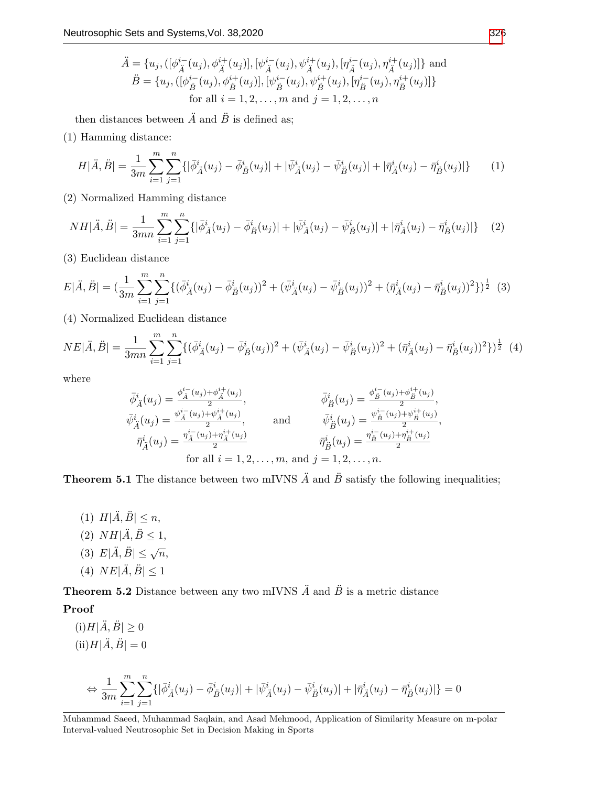$$
\ddot{A} = \{u_j, ([\phi_{\ddot{A}}^{i-}(u_j), \phi_{\ddot{A}}^{i+}(u_j)], [\psi_{\ddot{A}}^{i-}(u_j), \psi_{\ddot{A}}^{i+}(u_j), [\eta_{\ddot{A}}^{i-}(u_j), \eta_{\ddot{A}}^{i+}(u_j)]\} \text{ and}
$$
  
\n
$$
\ddot{B} = \{u_j, ([\phi_{\ddot{B}}^{i-}(u_j), \phi_{\ddot{B}}^{i+}(u_j)], [\psi_{\ddot{B}}^{i-}(u_j), \psi_{\ddot{B}}^{i+}(u_j), [\eta_{\ddot{B}}^{i-}(u_j), \eta_{\ddot{B}}^{i+}(u_j)]\}
$$
  
\nfor all  $i = 1, 2, ..., m$  and  $j = 1, 2, ..., n$ 

then distances between  $\ddot{A}$  and  $\ddot{B}$  is defined as;

(1) Hamming distance:

$$
H|\ddot{A},\ddot{B}| = \frac{1}{3m} \sum_{i=1}^{m} \sum_{j=1}^{n} \{ |\bar{\phi}_{\ddot{A}}^{i}(u_{j}) - \bar{\phi}_{\ddot{B}}^{i}(u_{j})| + |\bar{\psi}_{\ddot{A}}^{i}(u_{j}) - \bar{\psi}_{\ddot{B}}^{i}(u_{j})| + |\bar{\eta}_{\ddot{A}}^{i}(u_{j}) - \bar{\eta}_{\ddot{B}}^{i}(u_{j})| \}
$$
(1)

(2) Normalized Hamming distance

$$
NH|\ddot{A}, \ddot{B}| = \frac{1}{3mn} \sum_{i=1}^{m} \sum_{j=1}^{n} \{ |\bar{\phi}_{\ddot{A}}^{i}(u_{j}) - \bar{\phi}_{\ddot{B}}^{i}(u_{j})| + |\bar{\psi}_{\ddot{A}}^{i}(u_{j}) - \bar{\psi}_{\ddot{B}}^{i}(u_{j})| + |\bar{\eta}_{\ddot{A}}^{i}(u_{j}) - \bar{\eta}_{\ddot{B}}^{i}(u_{j})| \} \tag{2}
$$

(3) Euclidean distance

$$
E|\ddot{A},\ddot{B}| = \left(\frac{1}{3m} \sum_{i=1}^{m} \sum_{j=1}^{n} \{ (\bar{\phi}_{\ddot{A}}^{i}(u_{j}) - \bar{\phi}_{\dot{B}}^{i}(u_{j}))^{2} + (\bar{\psi}_{\ddot{A}}^{i}(u_{j}) - \bar{\psi}_{\ddot{B}}^{i}(u_{j}))^{2} + (\bar{\eta}_{\ddot{A}}^{i}(u_{j}) - \bar{\eta}_{\dot{B}}^{i}(u_{j}))^{2} \} \right)^{\frac{1}{2}} (3)
$$

(4) Normalized Euclidean distance

$$
NE|\ddot{A}, \ddot{B}| = \frac{1}{3mn} \sum_{i=1}^{m} \sum_{j=1}^{n} \{ (\bar{\phi}_{\ddot{A}}^{i}(u_{j}) - \bar{\phi}_{\ddot{B}}^{i}(u_{j}))^{2} + (\bar{\psi}_{\ddot{A}}^{i}(u_{j}) - \bar{\psi}_{\ddot{B}}^{i}(u_{j}))^{2} + (\bar{\eta}_{\ddot{A}}^{i}(u_{j}) - \bar{\eta}_{\ddot{B}}^{i}(u_{j}))^{2} \}^{\frac{1}{2}}
$$
(4)

where

$$
\bar{\phi}_{\tilde{A}}^{i}(u_{j}) = \frac{\phi_{\tilde{A}}^{i_{-}}(u_{j}) + \phi_{\tilde{A}}^{i_{+}}(u_{j})}{2},
$$
\n
$$
\bar{\phi}_{\tilde{B}}^{i}(u_{j}) = \frac{\phi_{\tilde{B}}^{i_{-}}(u_{j}) + \phi_{\tilde{B}}^{i_{+}}(u_{j})}{2},
$$
\n
$$
\bar{\eta}_{\tilde{A}}^{i}(u_{j}) = \frac{\eta_{\tilde{A}}^{i_{-}}(u_{j}) + \psi_{\tilde{A}}^{i_{+}}(u_{j})}{2},
$$
\nand\n
$$
\bar{\eta}_{\tilde{B}}^{i}(u_{j}) = \frac{\psi_{\tilde{B}}^{i_{-}}(u_{j}) + \psi_{\tilde{B}}^{i_{+}}(u_{j})}{2},
$$
\nfor all  $i = 1, 2, ..., m$ , and  $j = 1, 2, ..., n$ .

**Theorem 5.1** The distance between two mIVNS  $\ddot{A}$  and  $\ddot{B}$  satisfy the following inequalities;

(1)  $H|\ddot{A}, \ddot{B}| \leq n$ , (2)  $NH|\ddot{A}, \ddot{B} \leq 1$ , (3)  $E|\ddot{A}, \ddot{B}| \leq \sqrt{n}$ , (4)  $NE|\tilde{A}, \tilde{B}| \leq 1$ 

**Theorem 5.2** Distance between any two mIVNS  $\ddot{A}$  and  $\ddot{B}$  is a metric distance

# Proof

 $(i)H|\ddot{A}, \ddot{B}| \geq 0$  $(ii)$  $H|\ddot{A}, \ddot{B}| = 0$ 

$$
\Leftrightarrow \frac{1}{3m}\sum_{i=1}^m\sum_{j=1}^n\{|\bar{\phi}^i_{\tilde{A}}(u_j)-\bar{\phi}^i_{\tilde{B}}(u_j)|+|\bar{\psi}^i_{\tilde{A}}(u_j)-\bar{\psi}^i_{\tilde{B}}(u_j)|+|\bar{\eta}^i_{\tilde{A}}(u_j)-\bar{\eta}^i_{\tilde{B}}(u_j)|\}=0
$$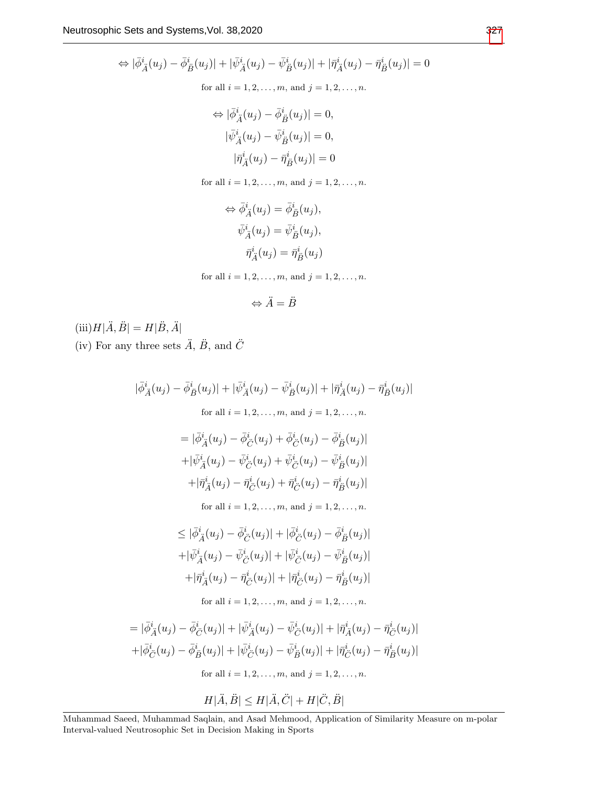$$
\Leftrightarrow |\bar{\phi}_{\vec{A}}^{i}(u_{j}) - \bar{\phi}_{\vec{B}}^{i}(u_{j})| + |\bar{\psi}_{\vec{A}}^{i}(u_{j}) - \bar{\psi}_{\vec{B}}^{i}(u_{j})| + |\bar{\eta}_{\vec{A}}^{i}(u_{j}) - \bar{\eta}_{\vec{B}}^{i}(u_{j})| = 0
$$
  
for all  $i = 1, 2, ..., m$ , and  $j = 1, 2, ..., n$ .  

$$
\Leftrightarrow |\bar{\phi}_{\vec{A}}^{i}(u_{j}) - \bar{\phi}_{\vec{B}}^{i}(u_{j})| = 0,
$$

$$
|\bar{\psi}_{\vec{A}}^{i}(u_{j}) - \bar{\psi}_{\vec{B}}^{i}(u_{j})| = 0,
$$

$$
|\bar{\eta}_{\vec{A}}^{i}(u_{j}) - \bar{\eta}_{\vec{B}}^{i}(u_{j})| = 0
$$
  
for all  $i = 1, 2, ..., m$ , and  $j = 1, 2, ..., n$ .

$$
\Leftrightarrow \bar{\phi}_{\tilde{A}}^{i}(u_{j}) = \bar{\phi}_{\tilde{B}}^{i}(u_{j}),
$$

$$
\bar{\psi}_{\tilde{A}}^{i}(u_{j}) = \bar{\psi}_{\tilde{B}}^{i}(u_{j}),
$$

$$
\bar{\eta}_{\tilde{A}}^{i}(u_{j}) = \bar{\eta}_{\tilde{B}}^{i}(u_{j})
$$

for all  $i = 1, 2, ..., m$ , and  $j = 1, 2, ..., n$ .

$$
\Leftrightarrow \ddot{A} = \ddot{B}
$$

 $(\mbox{iii})H|\ddot A, \ddot B|=H|\ddot B, \ddot A|$ (iv) For any three sets  $\ddot{A}$ ,  $\ddot{B}$ , and  $\ddot{C}$ 

$$
|\bar{\phi}_{\vec{A}}^{i}(u_{j}) - \bar{\phi}_{\vec{B}}^{i}(u_{j})| + |\bar{\psi}_{\vec{A}}^{i}(u_{j}) - \bar{\psi}_{\vec{B}}^{i}(u_{j})| + |\bar{\eta}_{\vec{A}}^{i}(u_{j}) - \bar{\eta}_{\vec{B}}^{i}(u_{j})|
$$
  
for all  $i = 1, 2, ..., m$ , and  $j = 1, 2, ..., n$ .  

$$
= |\bar{\phi}_{\vec{A}}^{i}(u_{j}) - \bar{\phi}_{\vec{C}}^{i}(u_{j}) + \bar{\phi}_{\vec{C}}^{i}(u_{j}) - \bar{\phi}_{\vec{B}}^{i}(u_{j})|
$$

$$
+ |\bar{\psi}_{\vec{A}}^{i}(u_{j}) - \bar{\psi}_{\vec{C}}^{i}(u_{j}) + \bar{\psi}_{\vec{C}}^{i}(u_{j}) - \bar{\psi}_{\vec{B}}^{i}(u_{j})|
$$

$$
+ |\bar{\eta}_{\vec{A}}^{i}(u_{j}) - \bar{\eta}_{\vec{C}}^{i}(u_{j}) + \bar{\eta}_{\vec{C}}^{i}(u_{j}) - \bar{\eta}_{\vec{B}}^{i}(u_{j})|
$$
  
for all  $i = 1, 2, ..., m$ , and  $j = 1, 2, ..., n$ .  

$$
\leq |\bar{\phi}_{\vec{A}}^{i}(u_{j}) - \bar{\phi}_{\vec{C}}^{i}(u_{j})| + |\bar{\phi}_{\vec{C}}^{i}(u_{j}) - \bar{\phi}_{\vec{B}}^{i}(u_{j})|
$$

$$
+ |\bar{\psi}_{\vec{A}}^{i}(u_{j}) - \bar{\psi}_{\vec{C}}^{i}(u_{j})| + |\bar{\psi}_{\vec{C}}^{i}(u_{j}) - \bar{\psi}_{\vec{B}}^{i}(u_{j})|
$$

$$
+ |\bar{\eta}_{\vec{A}}^{i}(u_{j}) - \bar{\eta}_{\vec{C}}^{i}(u_{j})| + |\bar{\eta}_{\vec{C}}^{i}(u_{j}) - \bar{\eta}_{\vec{B}}^{i}(u_{j})|
$$
  
for all  $i = 1, 2, ..., m$ , and  $j = 1, 2, ..., n$ .

$$
= |\bar{\phi}_{\vec{A}}^{i}(u_{j}) - \bar{\phi}_{\vec{C}}^{i}(u_{j})| + |\bar{\psi}_{\vec{A}}^{i}(u_{j}) - \bar{\psi}_{\vec{C}}^{i}(u_{j})| + |\bar{\eta}_{\vec{A}}^{i}(u_{j}) - \bar{\eta}_{\vec{C}}^{i}(u_{j})|
$$
  
+  $|\bar{\phi}_{\vec{C}}^{i}(u_{j}) - \bar{\phi}_{\vec{B}}^{i}(u_{j})| + |\bar{\psi}_{\vec{C}}^{i}(u_{j}) - \bar{\psi}_{\vec{B}}^{i}(u_{j})| + |\bar{\eta}_{\vec{C}}^{i}(u_{j}) - \bar{\eta}_{\vec{B}}^{i}(u_{j})|$   
for all  $i = 1, 2, ..., m$ , and  $j = 1, 2, ..., n$ .

$$
H[\ddot{A},\ddot{B}]\leq H[\ddot{A},\ddot{C}]+H[\ddot{C},\ddot{B}]
$$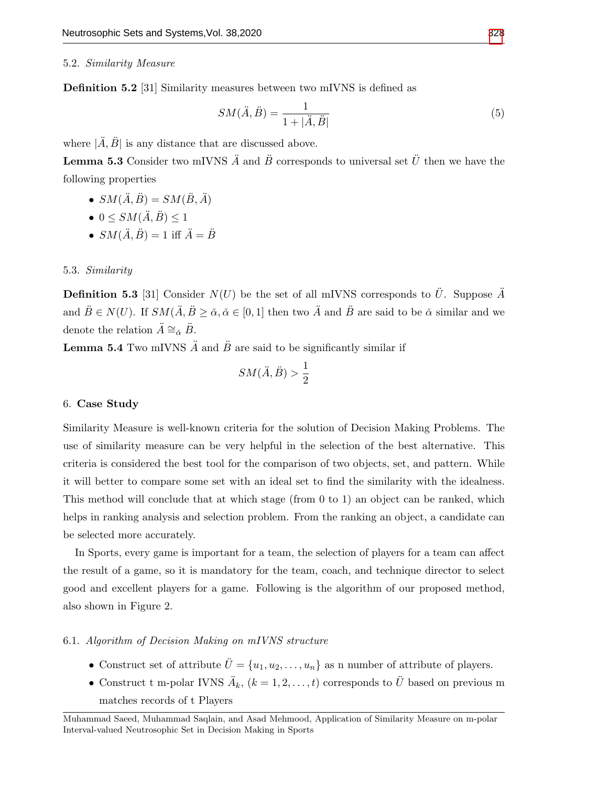#### 5.2. Similarity Measure

Definition 5.2 [31] Similarity measures between two mIVNS is defined as

$$
SM(\ddot{A}, \ddot{B}) = \frac{1}{1 + |\ddot{A}, \ddot{B}|}\tag{5}
$$

where  $|\tilde{A}, \tilde{B}|$  is any distance that are discussed above.

**Lemma 5.3** Consider two mIVNS  $\ddot{A}$  and  $\ddot{B}$  corresponds to universal set  $\ddot{U}$  then we have the following properties

- $SM(\ddot{A}, \ddot{B}) = SM(\ddot{B}, \ddot{A})$
- $0 \leq SM(\ddot{A}, \ddot{B}) \leq 1$
- $SM(\ddot{A}, \ddot{B}) = 1$  iff  $\ddot{A} = \ddot{B}$

#### 5.3. Similarity

**Definition 5.3** [31] Consider  $N(U)$  be the set of all mIVNS corresponds to  $\ddot{U}$ . Suppose  $\ddot{A}$ and  $\ddot{B} \in N(U)$ . If  $SM(\ddot{A}, \ddot{B} \ge \check{\alpha}, \check{\alpha} \in [0, 1]$  then two  $\ddot{A}$  and  $\ddot{B}$  are said to be  $\check{\alpha}$  similar and we denote the relation  $\ddot{A} \cong_{\breve{\alpha}} \ddot{B}$ .

**Lemma 5.4** Two mIVNS  $\ddot{A}$  and  $\ddot{B}$  are said to be significantly similar if

$$
SM(\ddot{A}, \ddot{B}) > \frac{1}{2}
$$

## 6. Case Study

Similarity Measure is well-known criteria for the solution of Decision Making Problems. The use of similarity measure can be very helpful in the selection of the best alternative. This criteria is considered the best tool for the comparison of two objects, set, and pattern. While it will better to compare some set with an ideal set to find the similarity with the idealness. This method will conclude that at which stage (from 0 to 1) an object can be ranked, which helps in ranking analysis and selection problem. From the ranking an object, a candidate can be selected more accurately.

In Sports, every game is important for a team, the selection of players for a team can affect the result of a game, so it is mandatory for the team, coach, and technique director to select good and excellent players for a game. Following is the algorithm of our proposed method, also shown in Figure 2.

## 6.1. Algorithm of Decision Making on mIVNS structure

- Construct set of attribute  $\ddot{U} = \{u_1, u_2, \ldots, u_n\}$  as n number of attribute of players.
- Construct t m-polar IVNS  $\ddot{A}_k$ ,  $(k = 1, 2, ..., t)$  corresponds to  $\ddot{U}$  based on previous m matches records of t Players

Muhammad Saeed, Muhammad Saqlain, and Asad Mehmood, Application of Similarity Measure on m-polar Interval-valued Neutrosophic Set in Decision Making in Sports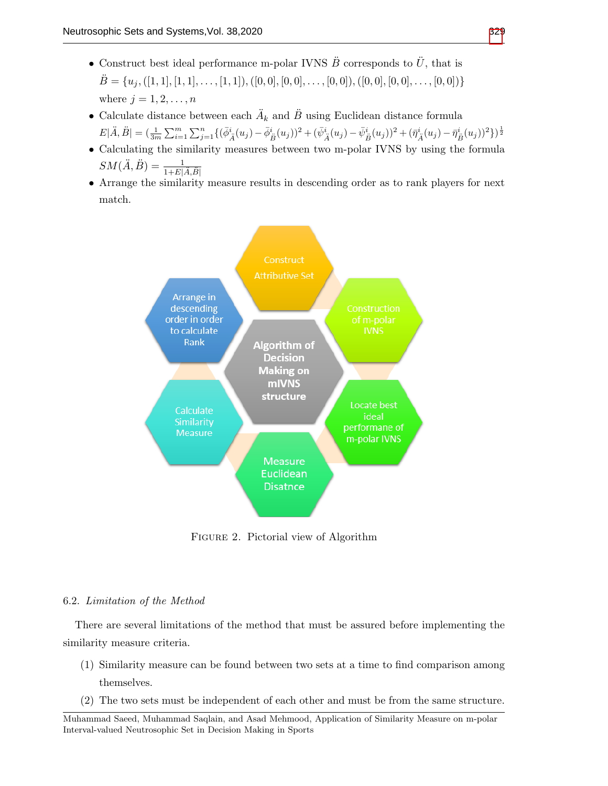- Construct best ideal performance m-polar IVNS  $\ddot{B}$  corresponds to  $\ddot{U}$ , that is  $\ddot{B} = \{u_j, ([1, 1], [1, 1], \ldots, [1, 1]), ([0, 0], [0, 0], \ldots, [0, 0]), ([0, 0], [0, 0], \ldots, [0, 0])\}$ where  $j = 1, 2, \ldots, n$
- Calculate distance between each  $\ddot{A}_k$  and  $\ddot{B}$  using Euclidean distance formula  $E|\ddot{A},\ddot{B}|=(\tfrac{1}{3m}\sum_{i=1}^{m}\sum_{j=1}^{n}\{(\bar{\phi}_{\ddot{A}}^{i}(u_{j})-\bar{\phi}_{\ddot{B}}^{i}(u_{j}))^{2}+(\bar{\psi}_{\ddot{A}}^{i}(u_{j})-\bar{\psi}_{\dot{B}}^{i}(u_{j}))^{2}+(\bar{\eta}_{\ddot{A}}^{i}(u_{j})-\bar{\eta}_{\dot{B}}^{i}(u_{j}))^{2}\})^{\frac{1}{2}}$
- Calculating the similarity measures between two m-polar IVNS by using the formula  $SM(\ddot{A}, \ddot{B}) = \frac{1}{1 + E[\ddot{A}, \ddot{B}]}$
- Arrange the similarity measure results in descending order as to rank players for next match.



Figure 2. Pictorial view of Algorithm

#### 6.2. Limitation of the Method

There are several limitations of the method that must be assured before implementing the similarity measure criteria.

- (1) Similarity measure can be found between two sets at a time to find comparison among themselves.
- (2) The two sets must be independent of each other and must be from the same structure.

Muhammad Saeed, Muhammad Saqlain, and Asad Mehmood, Application of Similarity Measure on m-polar Interval-valued Neutrosophic Set in Decision Making in Sports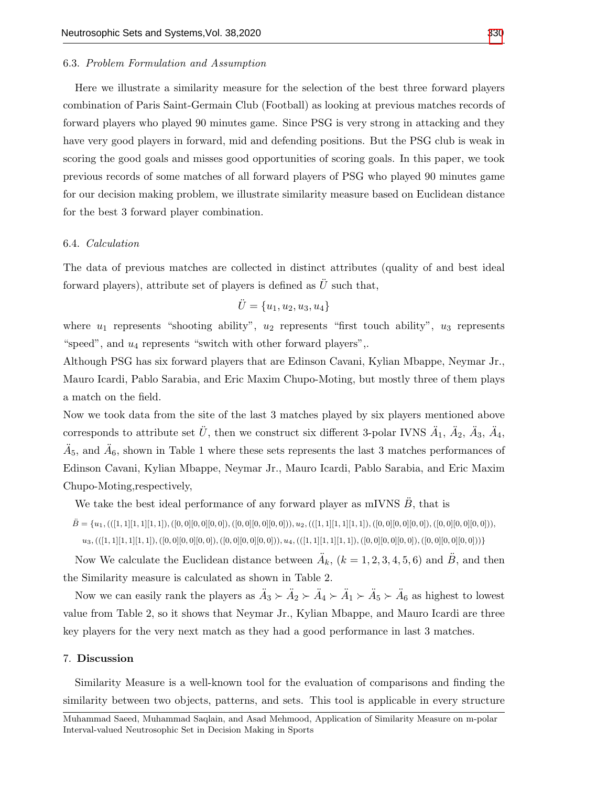#### 6.3. Problem Formulation and Assumption

Here we illustrate a similarity measure for the selection of the best three forward players combination of Paris Saint-Germain Club (Football) as looking at previous matches records of forward players who played 90 minutes game. Since PSG is very strong in attacking and they have very good players in forward, mid and defending positions. But the PSG club is weak in scoring the good goals and misses good opportunities of scoring goals. In this paper, we took previous records of some matches of all forward players of PSG who played 90 minutes game for our decision making problem, we illustrate similarity measure based on Euclidean distance for the best 3 forward player combination.

#### 6.4. Calculation

The data of previous matches are collected in distinct attributes (quality of and best ideal forward players), attribute set of players is defined as  $\ddot{U}$  such that,

$$
\ddot{U} = \{u_1, u_2, u_3, u_4\}
$$

where  $u_1$  represents "shooting ability",  $u_2$  represents "first touch ability",  $u_3$  represents "speed", and  $u_4$  represents "switch with other forward players",.

Although PSG has six forward players that are Edinson Cavani, Kylian Mbappe, Neymar Jr., Mauro Icardi, Pablo Sarabia, and Eric Maxim Chupo-Moting, but mostly three of them plays a match on the field.

Now we took data from the site of the last 3 matches played by six players mentioned above corresponds to attribute set  $\ddot{U}$ , then we construct six different 3-polar IVNS  $\ddot{A}_1$ ,  $\ddot{A}_2$ ,  $\ddot{A}_3$ ,  $\ddot{A}_4$ ,  $\ddot{A}_5$ , and  $\ddot{A}_6$ , shown in Table 1 where these sets represents the last 3 matches performances of Edinson Cavani, Kylian Mbappe, Neymar Jr., Mauro Icardi, Pablo Sarabia, and Eric Maxim Chupo-Moting,respectively,

We take the best ideal performance of any forward player as mIVNS  $\ddot{B}$ , that is

 $\ddot{B} = \{u_1, (([1,1][1,1][1,1]), ([0,0][0,0]), ([0,0][0,0]), u_2, (([1,1][1,1][1,1]), ([0,0][0,0]), ([0,0][0,0]), ([0,0][0,0]),$ 

 $u_3, (([1,1][1,1][1,1]),([0,0][0,0],0,0],0,0],0,0][0,0]),$   $u_4, (([1,1][1,1][1,1]),([0,0][0,0],0,0],([0,0],0,0],0,0]$ 

Now We calculate the Euclidean distance between  $\ddot{A}_k$ ,  $(k = 1, 2, 3, 4, 5, 6)$  and  $\ddot{B}$ , and then the Similarity measure is calculated as shown in Table 2.

Now we can easily rank the players as  $\ddot{A}_3 \succ \ddot{A}_2 \succ \ddot{A}_4 \succ \ddot{A}_1 \succ \ddot{A}_5 \succ \ddot{A}_6$  as highest to lowest value from Table 2, so it shows that Neymar Jr., Kylian Mbappe, and Mauro Icardi are three key players for the very next match as they had a good performance in last 3 matches.

#### 7. Discussion

Similarity Measure is a well-known tool for the evaluation of comparisons and finding the similarity between two objects, patterns, and sets. This tool is applicable in every structure

Muhammad Saeed, Muhammad Saqlain, and Asad Mehmood, Application of Similarity Measure on m-polar Interval-valued Neutrosophic Set in Decision Making in Sports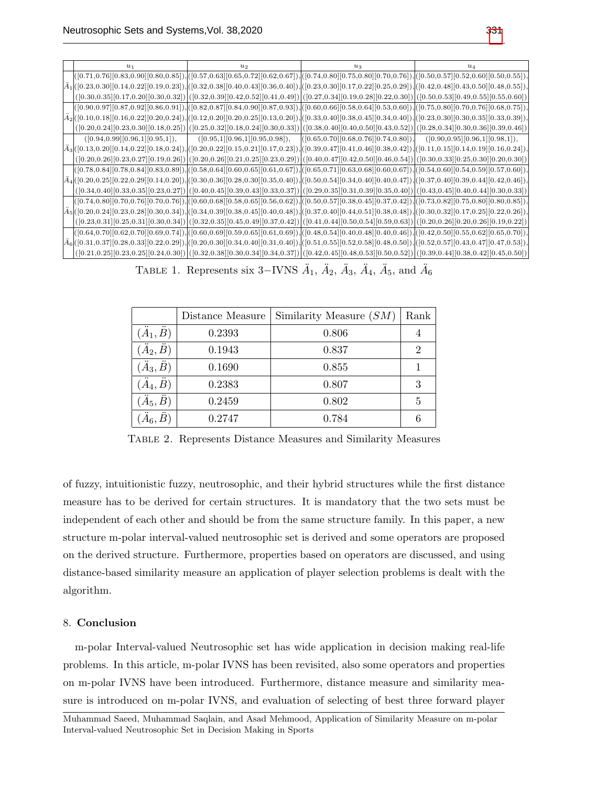|  | $u_1$                             | $u_2$                                                                                                                                                                                                                                                                                       | $u_3$                                                                   | $u_4$                             |
|--|-----------------------------------|---------------------------------------------------------------------------------------------------------------------------------------------------------------------------------------------------------------------------------------------------------------------------------------------|-------------------------------------------------------------------------|-----------------------------------|
|  |                                   | $[(0.71, 0.76][0.83, 0.90][0.80, 0.85]), [([0.57, 0.63][0.65, 0.72][0.62, 0.67]), [[0.74, 0.80][0.75, 0.80][0.70, 0.76]), [[0.50, 0.57][0.52, 0.60][0.50, 0.55]),$                                                                                                                          |                                                                         |                                   |
|  |                                   | $\bigl  \ddot{A}_1 \bigl  \bigl( [0.23, 0.30] [0.14, 0.22] [0.19, 0.23] \bigr) \bigl  \bigl( [0.32, 0.38] [0.40, 0.43] [0.36, 0.40] \bigr) \bigl  \bigl( [0.23, 0.30] [0.17, 0.22] [0.25, 0.29] \bigr) \bigl  \bigl( [0.42, 0.48] [0.43, 0.50] [0.48, 0.55] \bigr) \bigr  \bigl( [0.42, 0.$ |                                                                         |                                   |
|  |                                   | $([0.30, 0.35][0.17, 0.20][0.30, 0.32]) ([0.32, 0.39][0.42, 0.52][0.41, 0.49]) ([0.27, 0.34][0.19, 0.28][0.22, 0.30]) ([0.50, 0.53][0.49, 0.55][0.55, 0.60])$                                                                                                                               |                                                                         |                                   |
|  |                                   | $[(0.90, 0.97][0.87, 0.92][0.86, 0.91]), [(0.82, 0.87][0.84, 0.90][0.87, 0.93]), [(0.60, 0.66][0.58, 0.64][0.53, 0.60]), [(0.75, 0.80][0.70, 0.76][0.68, 0.75]),$                                                                                                                           |                                                                         |                                   |
|  |                                   | $ \tilde{A}_2 ([0.10, 0.18][0.16, 0.22][0.20, 0.24]),  ([0.12, 0.20][0.20, 0.25][0.13, 0.20]),  ([0.33, 0.40][0.38, 0.45][0.34, 0.40]),  ([0.23, 0.30][0.30, 0.35][0.33, 0.39]),$                                                                                                           |                                                                         |                                   |
|  |                                   | $([0.20, 0.24][0.23, 0.30][0.18, 0.25])$ $([0.25, 0.32][0.18, 0.24][0.30, 0.33])$ $([0.38, 0.40][0.40, 0.50][0.43, 0.52])$ $([0.28, 0.34][0.30, 0.36][0.39, 0.46])$                                                                                                                         |                                                                         |                                   |
|  | ([0.94, 0.99][0.96, 1][0.95, 1]), |                                                                                                                                                                                                                                                                                             | $([0.95,1][0.96,1][0.95,0.98]), \ ([0.65,0.70][0.68,0.76][0.74,0.80]),$ | ([0.90, 0.95][0.96, 1][0.98, 1]), |
|  |                                   | $ \tilde{A}_3 ([0.13,0.20][0.14,0.22][0.18,0.24]), ([0.20,0.22][0.15,0.21][0.17,0.23]), ([0.39,0.47][0.41,0.46][0.38,0.42]), ([0.11,0.15][0.14,0.19][0.16,0.24]),$                                                                                                                          |                                                                         |                                   |
|  |                                   | $([0.20, 0.26][0.23, 0.27][0.19, 0.26])$ $([0.20, 0.26][0.21, 0.25][0.23, 0.29])$ $([0.40, 0.47][0.42, 0.50][0.46, 0.54])$ $([0.30, 0.33][0.25, 0.30][0.20, 0.30])$                                                                                                                         |                                                                         |                                   |
|  |                                   | $[(0.78, 0.84][0.78, 0.84][0.83, 0.89]),[(0.58, 0.64][0.60, 0.65][0.61, 0.67]),[(0.65, 0.71][0.63, 0.68][0.60, 0.67]),[(0.54, 0.60][0.54, 0.59][0.57, 0.60]),$                                                                                                                              |                                                                         |                                   |
|  |                                   | $\frac{1}{4}$ d([0.20,0.25][0.22,0.29][0.14,0.20]),[([0.30,0.36][0.28,0.30][0.35,0.40]),[([0.50,0.54][0.34,0.40][0.40,0.47]),[([0.37,0.40][0.39,0.44][0.42,0.46]),                                                                                                                          |                                                                         |                                   |
|  |                                   | $([0.34, 0.40][0.33, 0.35][0.23, 0.27])$ $([0.40, 0.45][0.39, 0.43][0.33, 0.37])$ $([0.29, 0.35][0.31, 0.39][0.35, 0.40])$ $([0.43, 0.45][0.40, 0.44][0.30, 0.33])$                                                                                                                         |                                                                         |                                   |
|  |                                   | $[(0.74, 0.80][0.70, 0.76][0.70, 0.76]),[(0.60, 0.68][0.58, 0.65][0.56, 0.62]),[(0.50, 0.57][0.38, 0.45][0.37, 0.42]),[(0.73, 0.82][0.75, 0.80][0.80, 0.85]),$                                                                                                                              |                                                                         |                                   |
|  |                                   | $\big  \tilde A_5 \big  ([0.20, 0.24][0.23, 0.28][0.30, 0.34]), \big  ([0.34, 0.39][0.38, 0.45][0.40, 0.48]), \big  ([0.37, 0.40][0.44, 0.51][0.38, 0.48]), \big  ([0.30, 0.32][0.17, 0.25][0.22, 0.26]),$                                                                                  |                                                                         |                                   |
|  |                                   | $([0.23, 0.31][0.25, 0.31][0.30, 0.34])$ $([0.32, 0.35][0.45, 0.49][0.37, 0.42])$ $([0.41, 0.44][0.50, 0.54][0.59, 0.63])$ $([0.20, 0.26][0.20, 0.26][0.19, 0.22])$                                                                                                                         |                                                                         |                                   |
|  |                                   | $[(0.64, 0.70][0.62, 0.70][0.69, 0.74]),[(0.60, 0.69][0.59, 0.65][0.61, 0.69]),[(0.48, 0.54][0.40, 0.48][0.40, 0.46]),[(0.42, 0.50][0.55, 0.62][0.65, 0.70]),$                                                                                                                              |                                                                         |                                   |
|  |                                   | $ \ddot A_6 ([0.31, 0.37][0.28, 0.33][0.22, 0.29]),  ([0.20, 0.30][0.34, 0.40][0.31, 0.40]),  ([0.51, 0.55][0.52, 0.58][0.48, 0.50]),  ([0.52, 0.57][0.43, 0.47][0.47, 0.53]),$                                                                                                             |                                                                         |                                   |
|  |                                   | $([0.21, 0.25][0.23, 0.25][0.24, 0.30])\big ([0.32, 0.38][0.30, 0.34][0.34, 0.37])\big ([0.42, 0.45][0.48, 0.53][0.50, 0.52])\big ([0.39, 0.44][0.38, 0.42][0.45, 0.50])$                                                                                                                   |                                                                         |                                   |

TABLE 1. Represents six 3–IVNS  $\ddot{A}_1$ ,  $\ddot{A}_2$ ,  $\ddot{A}_3$ ,  $\ddot{A}_4$ ,  $\ddot{A}_5$ , and  $\ddot{A}_6$ 

|                          | Distance Measure | Similarity Measure $(SM)$ | Rank           |
|--------------------------|------------------|---------------------------|----------------|
| $(\ddot{A}_1, \ddot{B})$ | 0.2393           | 0.806                     | 4              |
| $(\ddot{A}_2, \ddot{B})$ | 0.1943           | 0.837                     | $\overline{2}$ |
| $(\ddot{A}_3, \ddot{B})$ | 0.1690           | 0.855                     | 1              |
| $(\ddot{A}_4, \ddot{B})$ | 0.2383           | 0.807                     | 3              |
| $(\ddot{A}_5, \ddot{B})$ | 0.2459           | 0.802                     | 5              |
| $\ddot{A}_6, \ddot{B}$   | 0.2747           | 0.784                     | 6              |

Table 2. Represents Distance Measures and Similarity Measures

of fuzzy, intuitionistic fuzzy, neutrosophic, and their hybrid structures while the first distance measure has to be derived for certain structures. It is mandatory that the two sets must be independent of each other and should be from the same structure family. In this paper, a new structure m-polar interval-valued neutrosophic set is derived and some operators are proposed on the derived structure. Furthermore, properties based on operators are discussed, and using distance-based similarity measure an application of player selection problems is dealt with the algorithm.

### 8. Conclusion

m-polar Interval-valued Neutrosophic set has wide application in decision making real-life problems. In this article, m-polar IVNS has been revisited, also some operators and properties on m-polar IVNS have been introduced. Furthermore, distance measure and similarity measure is introduced on m-polar IVNS, and evaluation of selecting of best three forward player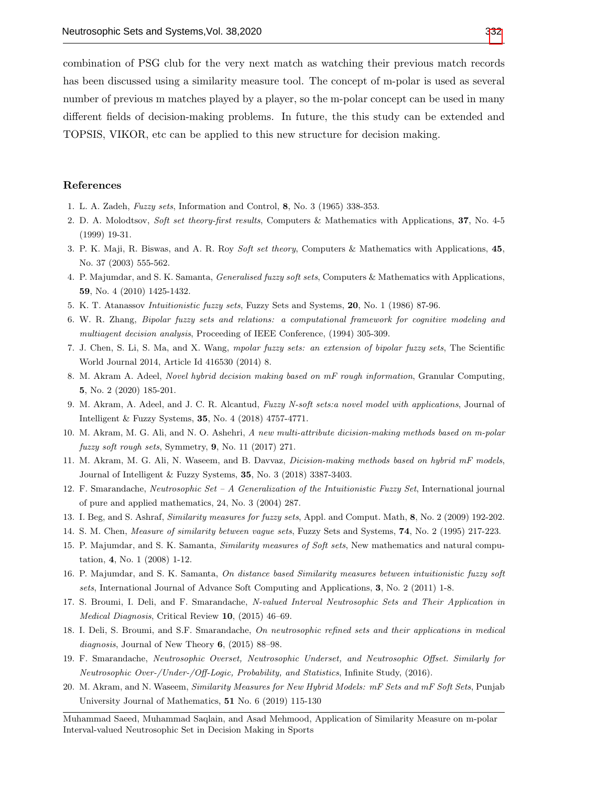combination of PSG club for the very next match as watching their previous match records has been discussed using a similarity measure tool. The concept of m-polar is used as several number of previous m matches played by a player, so the m-polar concept can be used in many different fields of decision-making problems. In future, the this study can be extended and TOPSIS, VIKOR, etc can be applied to this new structure for decision making.

#### References

- 1. L. A. Zadeh, Fuzzy sets, Information and Control, 8, No. 3 (1965) 338-353.
- 2. D. A. Molodtsov, Soft set theory-first results, Computers & Mathematics with Applications, 37, No. 4-5 (1999) 19-31.
- 3. P. K. Maji, R. Biswas, and A. R. Roy Soft set theory, Computers & Mathematics with Applications, 45, No. 37 (2003) 555-562.
- 4. P. Majumdar, and S. K. Samanta, *Generalised fuzzy soft sets*, Computers & Mathematics with Applications, 59, No. 4 (2010) 1425-1432.
- 5. K. T. Atanassov Intuitionistic fuzzy sets, Fuzzy Sets and Systems, 20, No. 1 (1986) 87-96.
- 6. W. R. Zhang, Bipolar fuzzy sets and relations: a computational framework for cognitive modeling and multiagent decision analysis, Proceeding of IEEE Conference, (1994) 305-309.
- 7. J. Chen, S. Li, S. Ma, and X. Wang, mpolar fuzzy sets: an extension of bipolar fuzzy sets, The Scientific World Journal 2014, Article Id 416530 (2014) 8.
- 8. M. Akram A. Adeel, Novel hybrid decision making based on mF rough information, Granular Computing, 5, No. 2 (2020) 185-201.
- 9. M. Akram, A. Adeel, and J. C. R. Alcantud, Fuzzy N-soft sets:a novel model with applications, Journal of Intelligent & Fuzzy Systems, 35, No. 4 (2018) 4757-4771.
- 10. M. Akram, M. G. Ali, and N. O. Ashehri, A new multi-attribute dicision-making methods based on m-polar fuzzy soft rough sets, Symmetry,  $9$ , No. 11 (2017) 271.
- 11. M. Akram, M. G. Ali, N. Waseem, and B. Davvaz, Dicision-making methods based on hybrid mF models, Journal of Intelligent & Fuzzy Systems, 35, No. 3 (2018) 3387-3403.
- 12. F. Smarandache, Neutrosophic Set A Generalization of the Intuitionistic Fuzzy Set, International journal of pure and applied mathematics, 24, No. 3 (2004) 287.
- 13. I. Beg, and S. Ashraf, Similarity measures for fuzzy sets, Appl. and Comput. Math, 8, No. 2 (2009) 192-202.
- 14. S. M. Chen, Measure of similarity between vague sets, Fuzzy Sets and Systems, 74, No. 2 (1995) 217-223.
- 15. P. Majumdar, and S. K. Samanta, Similarity measures of Soft sets, New mathematics and natural computation, 4, No. 1 (2008) 1-12.
- 16. P. Majumdar, and S. K. Samanta, On distance based Similarity measures between intuitionistic fuzzy soft sets, International Journal of Advance Soft Computing and Applications, 3, No. 2 (2011) 1-8.
- 17. S. Broumi, I. Deli, and F. Smarandache, N-valued Interval Neutrosophic Sets and Their Application in Medical Diagnosis, Critical Review 10, (2015) 46–69.
- 18. I. Deli, S. Broumi, and S.F. Smarandache, On neutrosophic refined sets and their applications in medical diagnosis, Journal of New Theory 6,  $(2015)$  88–98.
- 19. F. Smarandache, Neutrosophic Overset, Neutrosophic Underset, and Neutrosophic Offset. Similarly for Neutrosophic Over-/Under-/Off-Logic, Probability, and Statistics, Infinite Study, (2016).
- 20. M. Akram, and N. Waseem, Similarity Measures for New Hybrid Models: mF Sets and mF Soft Sets, Punjab University Journal of Mathematics, 51 No. 6 (2019) 115-130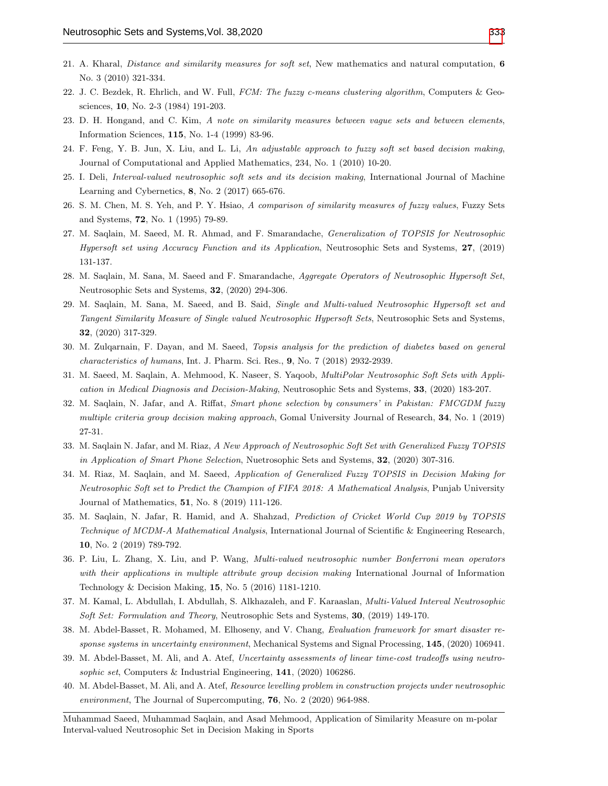- 21. A. Kharal, Distance and similarity measures for soft set, New mathematics and natural computation, 6 No. 3 (2010) 321-334.
- 22. J. C. Bezdek, R. Ehrlich, and W. Full, FCM: The fuzzy c-means clustering algorithm, Computers & Geosciences, 10, No. 2-3 (1984) 191-203.
- 23. D. H. Hongand, and C. Kim, A note on similarity measures between vague sets and between elements, Information Sciences, 115, No. 1-4 (1999) 83-96.
- 24. F. Feng, Y. B. Jun, X. Liu, and L. Li, An adjustable approach to fuzzy soft set based decision making, Journal of Computational and Applied Mathematics, 234, No. 1 (2010) 10-20.
- 25. I. Deli, Interval-valued neutrosophic soft sets and its decision making, International Journal of Machine Learning and Cybernetics, 8, No. 2 (2017) 665-676.
- 26. S. M. Chen, M. S. Yeh, and P. Y. Hsiao, A comparison of similarity measures of fuzzy values, Fuzzy Sets and Systems, 72, No. 1 (1995) 79-89.
- 27. M. Saqlain, M. Saeed, M. R. Ahmad, and F. Smarandache, Generalization of TOPSIS for Neutrosophic Hypersoft set using Accuracy Function and its Application, Neutrosophic Sets and Systems, 27, (2019) 131-137.
- 28. M. Saqlain, M. Sana, M. Saeed and F. Smarandache, Aggregate Operators of Neutrosophic Hypersoft Set, Neutrosophic Sets and Systems, 32, (2020) 294-306.
- 29. M. Saqlain, M. Sana, M. Saeed, and B. Said, Single and Multi-valued Neutrosophic Hypersoft set and Tangent Similarity Measure of Single valued Neutrosophic Hypersoft Sets, Neutrosophic Sets and Systems, 32, (2020) 317-329.
- 30. M. Zulqarnain, F. Dayan, and M. Saeed, Topsis analysis for the prediction of diabetes based on general characteristics of humans, Int. J. Pharm. Sci. Res., 9, No. 7 (2018) 2932-2939.
- 31. M. Saeed, M. Saqlain, A. Mehmood, K. Naseer, S. Yaqoob, MultiPolar Neutrosophic Soft Sets with Application in Medical Diagnosis and Decision-Making, Neutrosophic Sets and Systems, 33, (2020) 183-207.
- 32. M. Saqlain, N. Jafar, and A. Riffat, Smart phone selection by consumers' in Pakistan: FMCGDM fuzzy multiple criteria group decision making approach, Gomal University Journal of Research, 34, No. 1 (2019) 27-31.
- 33. M. Saqlain N. Jafar, and M. Riaz, A New Approach of Neutrosophic Soft Set with Generalized Fuzzy TOPSIS in Application of Smart Phone Selection, Nuetrosophic Sets and Systems, 32, (2020) 307-316.
- 34. M. Riaz, M. Saqlain, and M. Saeed, Application of Generalized Fuzzy TOPSIS in Decision Making for Neutrosophic Soft set to Predict the Champion of FIFA 2018: A Mathematical Analysis, Punjab University Journal of Mathematics, 51, No. 8 (2019) 111-126.
- 35. M. Saqlain, N. Jafar, R. Hamid, and A. Shahzad, Prediction of Cricket World Cup 2019 by TOPSIS Technique of MCDM-A Mathematical Analysis, International Journal of Scientific & Engineering Research, 10, No. 2 (2019) 789-792.
- 36. P. Liu, L. Zhang, X. Liu, and P. Wang, Multi-valued neutrosophic number Bonferroni mean operators with their applications in multiple attribute group decision making International Journal of Information Technology & Decision Making, 15, No. 5 (2016) 1181-1210.
- 37. M. Kamal, L. Abdullah, I. Abdullah, S. Alkhazaleh, and F. Karaaslan, Multi-Valued Interval Neutrosophic Soft Set: Formulation and Theory, Neutrosophic Sets and Systems, 30, (2019) 149-170.
- 38. M. Abdel-Basset, R. Mohamed, M. Elhoseny, and V. Chang, Evaluation framework for smart disaster response systems in uncertainty environment, Mechanical Systems and Signal Processing, 145, (2020) 106941.
- 39. M. Abdel-Basset, M. Ali, and A. Atef, Uncertainty assessments of linear time-cost tradeoffs using neutrosophic set, Computers & Industrial Engineering, 141, (2020) 106286.
- 40. M. Abdel-Basset, M. Ali, and A. Atef, Resource levelling problem in construction projects under neutrosophic environment, The Journal of Supercomputing, 76, No. 2 (2020) 964-988.

Muhammad Saeed, Muhammad Saqlain, and Asad Mehmood, Application of Similarity Measure on m-polar Interval-valued Neutrosophic Set in Decision Making in Sports